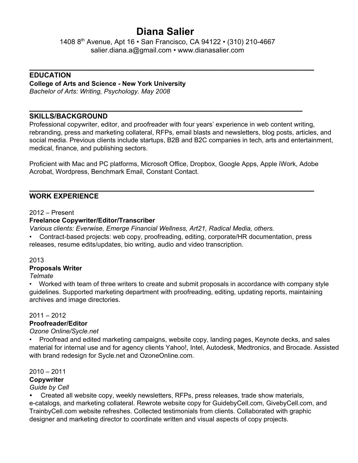# **Diana Salier**

1408 8<sup>th</sup> Avenue, Apt 16 • San Francisco, CA 94122 • (310) 210-4667 [salier.diana.a@gmail.com](mailto:salier.diana.a@gmail.com) • www.dianasalier.com

**\_\_\_\_\_\_\_\_\_\_\_\_\_\_\_\_\_\_\_\_\_\_\_\_\_\_\_\_\_\_\_\_\_\_\_\_\_\_\_\_\_\_\_\_\_\_\_\_\_\_\_\_\_\_\_\_\_\_\_\_\_\_\_\_\_\_\_\_\_\_\_\_\_**

**\_\_\_\_\_\_\_\_\_\_\_\_\_\_\_\_\_\_\_\_\_\_\_\_\_\_\_\_\_\_\_\_\_\_\_\_\_\_\_\_\_\_\_\_\_\_\_\_\_\_\_\_\_\_\_\_\_\_\_\_\_\_\_\_\_\_\_\_\_\_**

## **EDUCATION**

## **College of Arts and Science New York University**

*Bachelor of Arts: Writing, Psychology. May 2008*

## **SKILLS/BACKGROUND**

Professional copywriter, editor, and proofreader with four years' experience in web content writing, rebranding, press and marketing collateral, RFPs, email blasts and newsletters, blog posts, articles, and social media. Previous clients include startups, B2B and B2C companies in tech, arts and entertainment, medical, finance, and publishing sectors.

Proficient with Mac and PC platforms, Microsoft Office, Dropbox, Google Apps, Apple iWork, Adobe Acrobat, Wordpress, Benchmark Email, Constant Contact.

**\_\_\_\_\_\_\_\_\_\_\_\_\_\_\_\_\_\_\_\_\_\_\_\_\_\_\_\_\_\_\_\_\_\_\_\_\_\_\_\_\_\_\_\_\_\_\_\_\_\_\_\_\_\_\_\_\_\_\_\_\_\_\_\_\_\_\_\_\_\_\_\_\_**

## **WORK EXPERIENCE**

2012 – Present

## **Freelance Copywriter/Editor/Transcriber**

*Various clients: Everwise, Emerge Financial Wellness, Art21, Radical Media, others.*

Contract-based projects: web copy, proofreading, editing, corporate/HR documentation, press releases, resume edits/updates, bio writing, audio and video transcription.

## 2013

## **Proposals Writer**

*Telmate*

• Worked with team of three writers to create and submit proposals in accordance with company style guidelines. Supported marketing department with proofreading, editing, updating reports, maintaining archives and image directories.

## 2011 – 2012

## **Proofreader/Editor**

## *Ozone Online/Sycle.net*

• Proofread and edited marketing campaigns, website copy, landing pages, Keynote decks, and sales material for internal use and for agency clients Yahoo!, Intel, Autodesk, Medtronics, and Brocade. Assisted with brand redesign for Sycle.net and OzoneOnline.com.

2010 – 2011

## **Copywriter**

## *Guide by Cell*

*•* Created all website copy, weekly newsletters, RFPs, press releases, trade show materials,

e-catalogs, and marketing collateral. Rewrote website copy for GuidebyCell.com, GivebyCell.com, and TrainbyCell.com website refreshes. Collected testimonials from clients. Collaborated with graphic designer and marketing director to coordinate written and visual aspects of copy projects.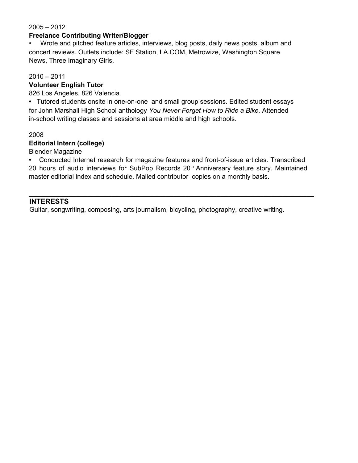#### 2005 – 2012

#### **Freelance Contributing Writer/Blogger**

• Wrote and pitched feature articles, interviews, blog posts, daily news posts, album and concert reviews. Outlets include: SF Station, LA.COM, Metrowize, Washington Square News, Three Imaginary Girls.

#### 2010 – 2011

## **Volunteer English Tutor**

826 Los Angeles, 826 Valencia

• Tutored students onsite in one-on-one and small group sessions. Edited student essays for John Marshall High School anthology *You Never Forget How to Ride a Bike.* Attended in-school writing classes and sessions at area middle and high schools.

#### 2008

#### **Editorial Intern (college)**

Blender Magazine

• Conducted Internet research for magazine features and front-of-issue articles. Transcribed 20 hours of audio interviews for SubPop Records 20<sup>th</sup> Anniversary feature story. Maintained master editorial index and schedule. Mailed contributor copies on a monthly basis.

**\_\_\_\_\_\_\_\_\_\_\_\_\_\_\_\_\_\_\_\_\_\_\_\_\_\_\_\_\_\_\_\_\_\_\_\_\_\_\_\_\_\_\_\_\_\_\_\_\_\_\_\_\_\_\_\_\_\_\_\_\_\_\_\_\_\_\_\_\_\_\_\_\_**

## **INTERESTS**

Guitar, songwriting, composing, arts journalism, bicycling, photography, creative writing.